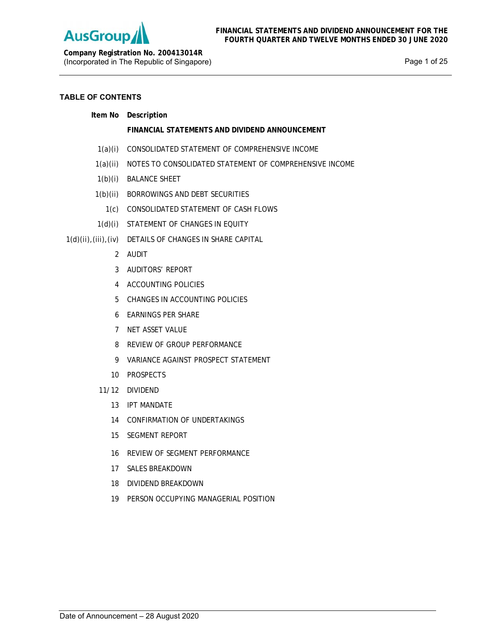

**Company Registration No. 200413014R** (Incorporated in The Republic of Singapore) example 25 and 25 years of 25 and 25 years and 25 years of 25

# **TABLE OF CONTENTS**

| ltem No | Description |
|---------|-------------|
|         |             |

# **FINANCIAL STATEMENTS AND DIVIDEND ANNOUNCEMENT**

- 1(a)(i) CONSOLIDATED STATEMENT OF COMPREHENSIVE INCOME
- 1(a)(ii) NOTES TO CONSOLIDATED STATEMENT OF COMPREHENSIVE INCOME
- 1(b)(i) BALANCE SHEET
- 1(b)(ii) BORROWINGS AND DEBT SECURITIES
	- 1(c) CONSOLIDATED STATEMENT OF CASH FLOWS
- 1(d)(i) STATEMENT OF CHANGES IN EQUITY
- 1(d)(ii),(iii),(iv) DETAILS OF CHANGES IN SHARE CAPITAL
	- 2 AUDIT
	- 3 AUDITORS' REPORT
	- 4 ACCOUNTING POLICIES
	- 5 CHANGES IN ACCOUNTING POLICIES
	- 6 EARNINGS PER SHARE
	- 7 NET ASSET VALUE
	- 8 REVIEW OF GROUP PERFORMANCE
	- 9 VARIANCE AGAINST PROSPECT STATEMENT
	- 10 PROSPECTS
	- 11/12 DIVIDEND
		- 13 IPT MANDATE
		- 14 CONFIRMATION OF UNDERTAKINGS
		- 15 SEGMENT REPORT
		- 16 REVIEW OF SEGMENT PERFORMANCE
		- 17 SALES BREAKDOWN
		- 18 DIVIDEND BREAKDOWN
		- 19 PERSON OCCUPYING MANAGERIAL POSITION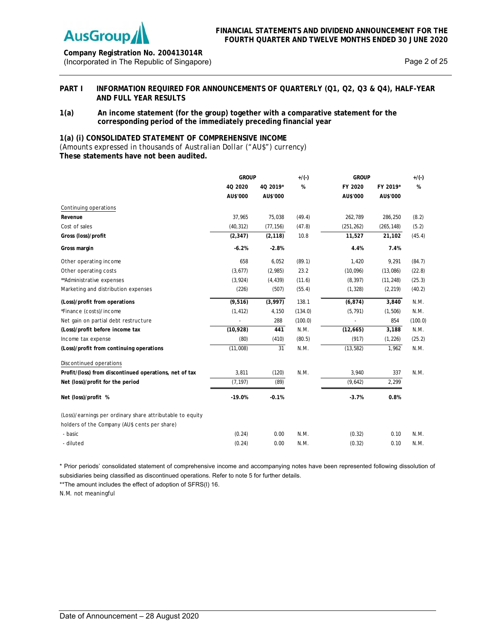

# **Company Registration No. 200413014R** (Incorporated in The Republic of Singapore) Page 2 of 25

# PART I INFORMATION REQUIRED FOR ANNOUNCEMENTS OF QUARTERLY (Q1, Q2, Q3 & Q4), HALF-YEAR **AND FULL YEAR RESULTS**

# **1(a) An income statement (for the group) together with a comparative statement for the corresponding period of the immediately preceding financial year**

# **1(a) (i) CONSOLIDATED STATEMENT OF COMPREHENSIVE INCOME**

*(Amounts expressed in thousands of Australian Dollar ("AU\$") currency)*  **These statements have not been audited.** 

|                                                           | <b>GROUP</b> |           | $+/(-)$ | <b>GROUP</b> |            | $+/(-)$ |
|-----------------------------------------------------------|--------------|-----------|---------|--------------|------------|---------|
|                                                           | 40 2020      | 4Q 2019*  | %       | FY 2020      | FY 2019*   | %       |
|                                                           | AU\$'000     | AU\$'000  |         | AU\$'000     | AU\$'000   |         |
| Continuing operations                                     |              |           |         |              |            |         |
| Revenue                                                   | 37,965       | 75,038    | (49.4)  | 262,789      | 286,250    | (8.2)   |
| Cost of sales                                             | (40, 312)    | (77, 156) | (47.8)  | (251, 262)   | (265, 148) | (5.2)   |
| Gross (loss)/profit                                       | (2, 347)     | (2, 118)  | 10.8    | 11,527       | 21,102     | (45.4)  |
| Gross margin                                              | $-6.2%$      | $-2.8%$   |         | 4.4%         | 7.4%       |         |
| Other operating income                                    | 658          | 6,052     | (89.1)  | 1,420        | 9,291      | (84.7)  |
| Other operating costs                                     | (3,677)      | (2,985)   | 23.2    | (10,096)     | (13,086)   | (22.8)  |
| ** Administrative expenses                                | (3,924)      | (4, 439)  | (11.6)  | (8, 397)     | (11, 248)  | (25.3)  |
| Marketing and distribution expenses                       | (226)        | (507)     | (55.4)  | (1, 328)     | (2, 219)   | (40.2)  |
| (Loss)/profit from operations                             | (9, 516)     | (3,997)   | 138.1   | (6, 874)     | 3,840      | N.M.    |
| *Finance (costs)/income                                   | (1, 412)     | 4,150     | (134.0) | (5, 791)     | (1,506)    | N.M.    |
| Net gain on partial debt restructure                      |              | 288       | (100.0) |              | 854        | (100.0) |
| (Loss)/profit before income tax                           | (10, 928)    | 441       | N.M.    | (12,665)     | 3,188      | N.M.    |
| Income tax expense                                        | (80)         | (410)     | (80.5)  | (917)        | (1, 226)   | (25.2)  |
| (Loss)/profit from continuing operations                  | (11,008)     | 31        | N.M.    | (13, 582)    | 1,962      | N.M.    |
| Discontinued operations                                   |              |           |         |              |            |         |
| Profit/(loss) from discontinued operations, net of tax    | 3,811        | (120)     | N.M.    | 3,940        | 337        | N.M.    |
| Net (loss)/profit for the period                          | (7, 197)     | (89)      |         | (9,642)      | 2,299      |         |
| Net (loss)/profit %                                       | $-19.0%$     | $-0.1%$   |         | $-3.7%$      | 0.8%       |         |
| (Loss)/earnings per ordinary share attributable to equity |              |           |         |              |            |         |
| holders of the Company (AU\$ cents per share)             |              |           |         |              |            |         |
| - basic                                                   | (0.24)       | 0.00      | N.M.    | (0.32)       | 0.10       | N.M.    |
| - diluted                                                 | (0.24)       | 0.00      | N.M.    | (0.32)       | 0.10       | N.M.    |

\* Prior periods' consolidated statement of comprehensive income and accompanying notes have been represented following dissolution of subsidiaries being classified as discontinued operations. Refer to note 5 for further details.

\*\*The amount includes the effect of adoption of SFRS(I) 16.

N.M. not meaningful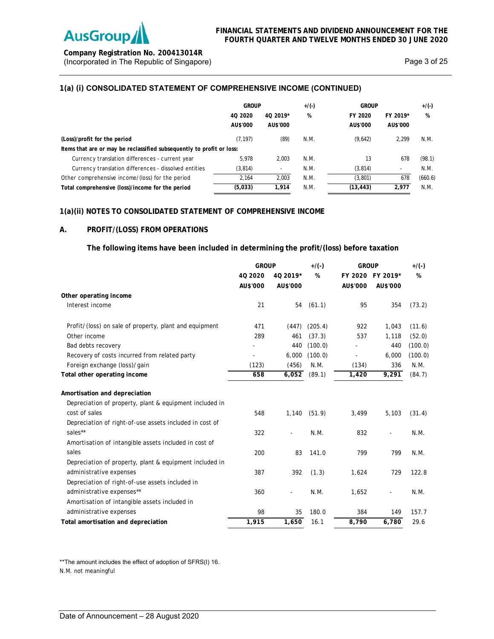

**Company Registration No. 200413014R** (Incorporated in The Republic of Singapore) and the extra set of 25 and 25 and 25 and 25 and 25 and 25 and 25 and 25 and 25 and 25 and 25 and 25 and 25 and 25 and 25 and 25 and 25 and 25 and 25 and 25 and 25 and 25 and 25

# **1(a) (i) CONSOLIDATED STATEMENT OF COMPREHENSIVE INCOME (CONTINUED)**

|                                                                       | <b>GROUP</b>        |                      | $+/(-)$<br><b>GROUP</b> |                     | $+/(-)$                  |         |
|-----------------------------------------------------------------------|---------------------|----------------------|-------------------------|---------------------|--------------------------|---------|
|                                                                       | 40 2020<br>AU\$'000 | 40 2019*<br>AU\$'000 | %                       | FY 2020<br>AU\$'000 | FY 2019*<br>AU\$'000     | %       |
| (Loss)/profit for the period                                          | (7.197)             | (89)                 | N.M.                    | (9,642)             | 2.299                    | N.M.    |
| Items that are or may be reclassified subsequently to profit or loss: |                     |                      |                         |                     |                          |         |
| Currency translation differences - current year                       | 5,978               | 2.003                | N.M.                    | 13                  | 678                      | (98.1)  |
| Currency translation differences - dissolved entities                 | (3,814)             |                      | N.M.                    | (3, 814)            | $\overline{\phantom{a}}$ | N.M.    |
| Other comprehensive income/(loss) for the period                      | 2.164               | 2.003                | N.M.                    | (3,801)             | 678                      | (660.6) |
| Total comprehensive (loss)/income for the period                      | (5,033)             | 1.914                | N.M.                    | (13, 443)           | 2.977                    | N.M.    |

# **1(a)(ii) NOTES TO CONSOLIDATED STATEMENT OF COMPREHENSIVE INCOME**

## **A. PROFIT/(LOSS) FROM OPERATIONS**

**The following items have been included in determining the profit/(loss) before taxation** 

|                                                         | <b>GROUP</b> |                          | $+$ /(-) |          | <b>GROUP</b>     |         |
|---------------------------------------------------------|--------------|--------------------------|----------|----------|------------------|---------|
|                                                         | 40 20 20     | 4Q 2019*                 | %        |          | FY 2020 FY 2019* | %       |
|                                                         | AU\$'000     | AU\$'000                 |          | AU\$'000 | AU\$'000         |         |
| Other operating income                                  |              |                          |          |          |                  |         |
| Interest income                                         | 21           | 54                       | (61.1)   | 95       | 354              | (73.2)  |
| Profit/(loss) on sale of property, plant and equipment  | 471          | (447)                    | (205.4)  | 922      | 1,043            | (11.6)  |
| Other income                                            | 289          | 461                      | (37.3)   | 537      | 1,118            | (52.0)  |
| Bad debts recovery                                      |              | 440                      | (100.0)  |          | 440              | (100.0) |
| Recovery of costs incurred from related party           |              | 6,000                    | (100.0)  |          | 6,000            | (100.0) |
| Foreign exchange (loss)/gain                            | (123)        | (456)                    | N.M.     | (134)    | 336              | N.M.    |
| Total other operating income                            | 658          | 6,052                    | (89.1)   | 1,420    | 9,291            | (84.7)  |
| Amortisation and depreciation                           |              |                          |          |          |                  |         |
| Depreciation of property, plant & equipment included in |              |                          |          |          |                  |         |
| cost of sales                                           | 548          | 1,140                    | (51.9)   | 3,499    | 5,103            | (31.4)  |
| Depreciation of right-of-use assets included in cost of |              |                          |          |          |                  |         |
| sales**                                                 | 322          | $\overline{\phantom{0}}$ | N.M.     | 832      | $\blacksquare$   | N.M.    |
| Amortisation of intangible assets included in cost of   |              |                          |          |          |                  |         |
| sales                                                   | 200          | 83                       | 141.0    | 799      | 799              | N.M.    |
| Depreciation of property, plant & equipment included in |              |                          |          |          |                  |         |
| administrative expenses                                 | 387          | 392                      | (1.3)    | 1,624    | 729              | 122.8   |
| Depreciation of right-of-use assets included in         |              |                          |          |          |                  |         |
| administrative expenses**                               | 360          | Ξ.                       | N.M.     | 1,652    |                  | N.M.    |
| Amortisation of intangible assets included in           |              |                          |          |          |                  |         |
| administrative expenses                                 | 98           | 35                       | 180.0    | 384      | 149              | 157.7   |
| Total amortisation and depreciation                     | 1,915        | 1,650                    | 16.1     | 8.790    | 6,780            | 29.6    |

\*\*The amount includes the effect of adoption of SFRS(I) 16.

N.M. not meaningful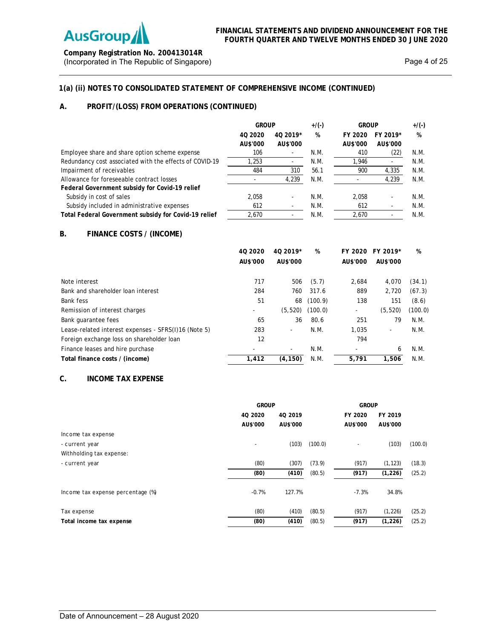

**Company Registration No. 200413014R** (Incorporated in The Republic of Singapore) and the extra set of 25 Page 4 of 25

# **1(a) (ii) NOTES TO CONSOLIDATED STATEMENT OF COMPREHENSIVE INCOME (CONTINUED)**

# **A. PROFIT/(LOSS) FROM OPERATIONS (CONTINUED)**

|                                                         | <b>GROUP</b>         |                          |      |                     | $+/(-)$              | <b>GROUP</b> |  | $+$ /(-) |
|---------------------------------------------------------|----------------------|--------------------------|------|---------------------|----------------------|--------------|--|----------|
|                                                         | 40 20 20<br>AU\$'000 | 40 2019*<br>AU\$'000     | %    | FY 2020<br>AU\$'000 | FY 2019*<br>AU\$'000 | %            |  |          |
| Employee share and share option scheme expense          | 106                  |                          | N.M. | 410                 | (22)                 | N.M.         |  |          |
| Redundancy cost associated with the effects of COVID-19 | 1,253                |                          | N.M. | 1,946               |                      | N.M.         |  |          |
| Impairment of receivables                               | 484                  | 310                      | 56.1 | 900                 | 4,335                | N.M.         |  |          |
| Allowance for foreseeable contract losses               |                      | 4.239                    | N.M. |                     | 4.239                | N.M.         |  |          |
| Federal Government subsidy for Covid-19 relief          |                      |                          |      |                     |                      |              |  |          |
| Subsidy in cost of sales                                | 2.058                | $\overline{\phantom{a}}$ | N.M. | 2.058               |                      | N.M.         |  |          |
| Subsidy included in administrative expenses             | 612                  |                          | N.M. | 612                 |                      | N.M.         |  |          |
| Total Federal Government subsidy for Covid-19 relief    | 2.670                |                          | N.M. | 2,670               |                      | N.M.         |  |          |

# **B. FINANCE COSTS / (INCOME)**

|                                                      | 40 20 20 | 40 2019* | %       |          | FY 2020 FY 2019* | %       |
|------------------------------------------------------|----------|----------|---------|----------|------------------|---------|
|                                                      | AU\$'000 | AU\$'000 |         | AU\$'000 | AU\$'000         |         |
|                                                      |          |          |         |          |                  |         |
| Note interest                                        | 717      | 506      | (5.7)   | 2.684    | 4,070            | (34.1)  |
| Bank and shareholder loan interest                   | 284      | 760      | 317.6   | 889      | 2,720            | (67.3)  |
| Bank fess                                            | 51       | 68       | (100.9) | 138      | 151              | (8.6)   |
| Remission of interest charges                        | ٠        | (5, 520) | (100.0) | ۰        | (5, 520)         | (100.0) |
| Bank quarantee fees                                  | 65       | 36       | 80.6    | 251      | 79               | N.M.    |
| Lease-related interest expenses - SFRS(I)16 (Note 5) | 283      | $\sim$   | N.M.    | 1.035    | ۰                | N.M.    |
| Foreign exchange loss on shareholder loan            | 12       |          |         | 794      |                  |         |
| Finance leases and hire purchase                     |          |          | N.M.    |          | 6                | N.M.    |
| Total finance costs / (income)                       | 1,412    | (4.150)  | N.M.    | 5.791    | 1,506            | N.M.    |

# **C. INCOME TAX EXPENSE**

|                                   | <b>GROUP</b> |          |         | <b>GROUP</b> |          |         |
|-----------------------------------|--------------|----------|---------|--------------|----------|---------|
|                                   | 40 2020      | 40 2019  |         | FY 2020      | FY 2019  |         |
|                                   | AU\$'000     | AU\$'000 |         | AU\$'000     | AU\$'000 |         |
| Income tax expense                |              |          |         |              |          |         |
| - current year                    |              | (103)    | (100.0) |              | (103)    | (100.0) |
| Withholding tax expense:          |              |          |         |              |          |         |
| - current year                    | (80)         | (307)    | (73.9)  | (917)        | (1, 123) | (18.3)  |
|                                   | (80)         | (410)    | (80.5)  | (917)        | (1, 226) | (25.2)  |
| Income tax expense percentage (%) | $-0.7%$      | 127.7%   |         | $-7.3%$      | 34.8%    |         |
| Tax expense                       | (80)         | (410)    | (80.5)  | (917)        | (1, 226) | (25.2)  |
| Total income tax expense          | (80)         | (410)    | (80.5)  | (917)        | (1, 226) | (25.2)  |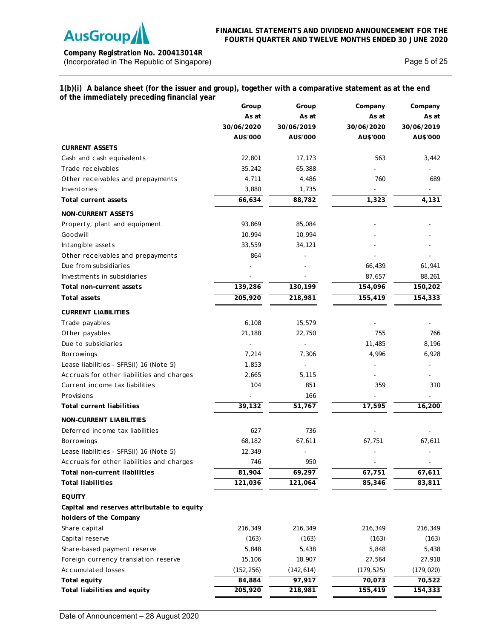

**Company Registration No. 200413014R** (Incorporated in The Republic of Singapore) and the extra set of 25 page 5 of 25

# **1(b)(i) A balance sheet (for the issuer and group), together with a comparative statement as at the end of the immediately preceding financial year**

|                                             | Group      | Group      | Company    | Company    |
|---------------------------------------------|------------|------------|------------|------------|
|                                             | As at      | As at      | As at      | As at      |
|                                             | 30/06/2020 | 30/06/2019 | 30/06/2020 | 30/06/2019 |
|                                             | AU\$'000   | AU\$'000   | AU\$'000   | AU\$'000   |
| <b>CURRENT ASSETS</b>                       |            |            |            |            |
| Cash and cash equivalents                   | 22,801     | 17,173     | 563        | 3,442      |
| Trade receivables                           | 35,242     | 65,388     |            |            |
| Other receivables and prepayments           | 4,711      | 4,486      | 760        | 689        |
| Inventories                                 | 3,880      | 1,735      |            |            |
| <b>Total current assets</b>                 | 66,634     | 88,782     | 1,323      | 4,131      |
| <b>NON-CURRENT ASSETS</b>                   |            |            |            |            |
| Property, plant and equipment               | 93,869     | 85,084     |            |            |
| Goodwill                                    | 10,994     | 10,994     |            |            |
| Intangible assets                           | 33,559     | 34,121     |            |            |
| Other receivables and prepayments           | 864        |            |            |            |
| Due from subsidiaries                       |            |            | 66,439     | 61,941     |
| Investments in subsidiaries                 |            |            | 87,657     | 88,261     |
| Total non-current assets                    | 139,286    | 130,199    | 154,096    | 150,202    |
| Total assets                                | 205,920    | 218,981    | 155,419    | 154,333    |
| <b>CURRENT LIABILITIES</b>                  |            |            |            |            |
| Trade payables                              | 6,108      | 15,579     |            |            |
| Other payables                              | 21,188     | 22,750     | 755        | 766        |
| Due to subsidiaries                         |            |            | 11,485     | 8,196      |
| <b>Borrowings</b>                           | 7,214      | 7,306      | 4,996      | 6,928      |
| Lease liabilities - SFRS(I) 16 (Note 5)     | 1,853      |            |            |            |
| Accruals for other liabilities and charges  | 2,665      | 5,115      |            |            |
| Current income tax liabilities              | 104        | 851        | 359        | 310        |
| Provisions                                  |            | 166        |            |            |
| <b>Total current liabilities</b>            | 39,132     | 51,767     | 17,595     | 16,200     |
| <b>NON-CURRENT LIABILITIES</b>              |            |            |            |            |
| Deferred income tax liabilities             | 627        | 736        |            |            |
| <b>Borrowings</b>                           | 68,182     | 67,611     | 67,751     | 67,611     |
| Lease liabilities - SFRS(I) 16 (Note 5)     | 12,349     |            |            |            |
| Accruals for other liabilities and charges  | 746        | 950        |            |            |
| Total non-current liabilities               | 81,904     | 69,297     | 67,751     | 67,611     |
| <b>Total liabilities</b>                    | 121,036    | 121,064    | 85,346     | 83,811     |
| <b>EQUITY</b>                               |            |            |            |            |
| Capital and reserves attributable to equity |            |            |            |            |
| holders of the Company                      |            |            |            |            |
| Share capital                               | 216,349    | 216,349    | 216,349    | 216,349    |
| Capital reserve                             | (163)      | (163)      | (163)      | (163)      |
| Share-based payment reserve                 | 5,848      | 5,438      | 5,848      | 5,438      |
| Foreign currency translation reserve        | 15,106     | 18,907     | 27,564     | 27,918     |
| Accumulated losses                          | (152, 256) | (142, 614) | (179, 525) | (179, 020) |
| Total equity                                | 84,884     | 97,917     | 70,073     | 70,522     |
| Total liabilities and equity                | 205,920    | 218,981    | 155,419    | 154,333    |
|                                             |            |            |            |            |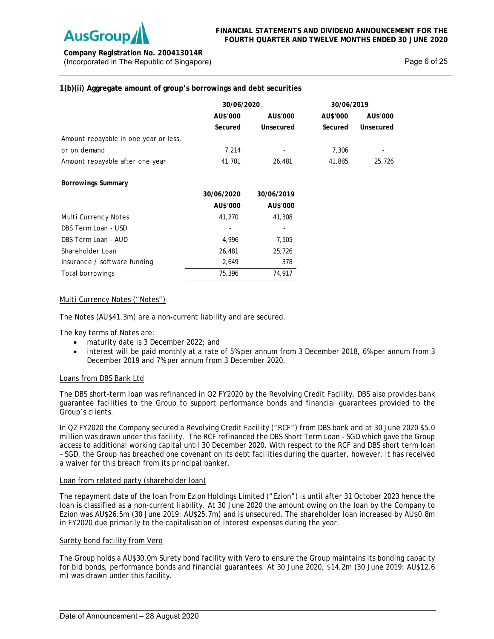

**Company Registration No. 200413014R** (Incorporated in The Republic of Singapore) **Page 6** of 25

# **1(b)(ii) Aggregate amount of group's borrowings and debt securities**

|                                       | 30/06/2020 |                          | 30/06/2019 |           |  |
|---------------------------------------|------------|--------------------------|------------|-----------|--|
|                                       | AU\$'000   | AU\$'000                 | AU\$'000   | AU\$'000  |  |
|                                       | Secured    | Unsecured                | Secured    | Unsecured |  |
| Amount repayable in one year or less, |            |                          |            |           |  |
| or on demand                          | 7,214      |                          | 7,306      |           |  |
| Amount repayable after one year       | 41,701     | 26,481                   | 41,885     | 25,726    |  |
| Borrowings Summary                    |            |                          |            |           |  |
|                                       | 30/06/2020 | 30/06/2019               |            |           |  |
|                                       | AU\$'000   | AU\$'000                 |            |           |  |
| Multi Currency Notes                  | 41,270     | 41,308                   |            |           |  |
| DBS Term Loan - USD                   |            | $\overline{\phantom{a}}$ |            |           |  |
| DBS Term Loan - AUD                   | 4,996      | 7,505                    |            |           |  |
| Shareholder Loan                      | 26,481     | 25,726                   |            |           |  |
| Insurance / software funding          | 2,649      | 378                      |            |           |  |
| Total borrowings                      | 75,396     | 74,917                   |            |           |  |

# Multi Currency Notes ("Notes")

The Notes (AU\$41.3m) are a non-current liability and are secured.

The key terms of Notes are:

- maturity date is 3 December 2022; and
- interest will be paid monthly at a rate of 5% per annum from 3 December 2018, 6% per annum from 3 December 2019 and 7% per annum from 3 December 2020.

## Loans from DBS Bank Ltd

The DBS short-term loan was refinanced in Q2 FY2020 by the Revolving Credit Facility. DBS also provides bank guarantee facilities to the Group to support performance bonds and financial guarantees provided to the Group's clients.

In Q2 FY2020 the Company secured a Revolving Credit Facility ("RCF") from DBS bank and at 30 June 2020 \$5.0 million was drawn under this facility. The RCF refinanced the DBS Short Term Loan - SGD which gave the Group access to additional working capital until 30 December 2020. With respect to the RCF and DBS short term loan – SGD, the Group has breached one covenant on its debt facilities during the quarter, however, it has received a waiver for this breach from its principal banker.

## Loan from related party (shareholder loan)

The repayment date of the loan from Ezion Holdings Limited ("Ezion") is until after 31 October 2023 hence the loan is classified as a non-current liability. At 30 June 2020 the amount owing on the loan by the Company to Ezion was AU\$26.5m (30 June 2019: AU\$25.7m) and is unsecured. The shareholder loan increased by AU\$0.8m in FY2020 due primarily to the capitalisation of interest expenses during the year.

## Surety bond facility from Vero

The Group holds a AU\$30.0m Surety bond facility with Vero to ensure the Group maintains its bonding capacity for bid bonds, performance bonds and financial guarantees. At 30 June 2020, \$14.2m (30 June 2019: AU\$12.6 m) was drawn under this facility.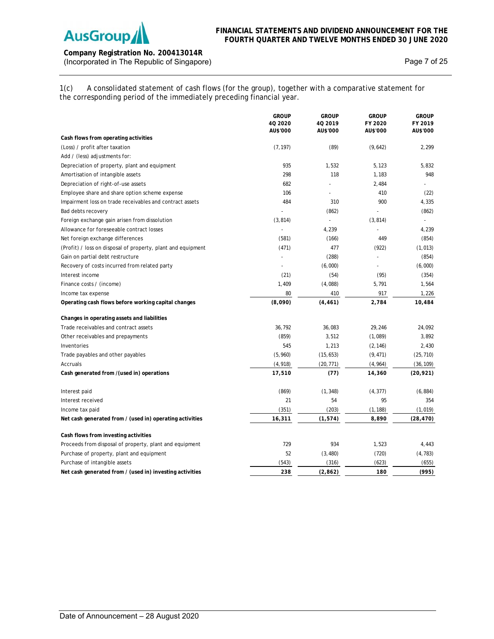

# **Company Registration No. 200413014R** (Incorporated in The Republic of Singapore) and the extra set of 25 Page 7 of 25

1(c) A consolidated statement of cash flows (for the group), together with a comparative statement for the corresponding period of the immediately preceding financial year.

|                                                              | <b>GROUP</b><br>40 20 20<br>AU\$'000 | <b>GROUP</b><br>4Q 2019<br>AU\$'000 | <b>GROUP</b><br>FY 2020<br>AU\$'000 | <b>GROUP</b><br>FY 2019<br>AU\$'000 |
|--------------------------------------------------------------|--------------------------------------|-------------------------------------|-------------------------------------|-------------------------------------|
| Cash flows from operating activities                         |                                      |                                     |                                     |                                     |
| (Loss) / profit after taxation                               | (7, 197)                             | (89)                                | (9,642)                             | 2,299                               |
| Add / (less) adjustments for:                                |                                      |                                     |                                     |                                     |
| Depreciation of property, plant and equipment                | 935                                  | 1,532                               | 5,123                               | 5,832                               |
| Amortisation of intangible assets                            | 298                                  | 118                                 | 1,183                               | 948                                 |
| Depreciation of right-of-use assets                          | 682                                  |                                     | 2,484                               |                                     |
| Employee share and share option scheme expense               | 106                                  |                                     | 410                                 | (22)                                |
| Impairment loss on trade receivables and contract assets     | 484                                  | 310                                 | 900                                 | 4,335                               |
| Bad debts recovery                                           |                                      | (862)                               |                                     | (862)                               |
| Foreign exchange gain arisen from dissolution                | (3, 814)                             |                                     | (3, 814)                            | $\overline{a}$                      |
| Allowance for foreseeable contract losses                    | $\overline{a}$                       | 4,239                               |                                     | 4,239                               |
| Net foreign exchange differences                             | (581)                                | (166)                               | 449                                 | (854)                               |
| (Profit) / loss on disposal of property, plant and equipment | (471)                                | 477                                 | (922)                               | (1, 013)                            |
| Gain on partial debt restructure                             |                                      | (288)                               |                                     | (854)                               |
| Recovery of costs incurred from related party                |                                      | (6,000)                             |                                     | (6,000)                             |
| Interest income                                              | (21)                                 | (54)                                | (95)                                | (354)                               |
| Finance costs / (income)                                     | 1,409                                | (4,088)                             | 5,791                               | 1,564                               |
| Income tax expense                                           | 80                                   | 410                                 | 917                                 | 1,226                               |
| Operating cash flows before working capital changes          | (8,090)                              | (4, 461)                            | 2,784                               | 10,484                              |
| Changes in operating assets and liabilities                  |                                      |                                     |                                     |                                     |
| Trade receivables and contract assets                        | 36,792                               | 36,083                              | 29,246                              | 24,092                              |
| Other receivables and prepayments                            | (859)                                | 3,512                               | (1,089)                             | 3,892                               |
| Inventories                                                  | 545                                  | 1,213                               | (2, 146)                            | 2,430                               |
| Trade payables and other payables                            | (5,960)                              | (15, 653)                           | (9, 471)                            | (25, 710)                           |
| Accruals                                                     | (4, 918)                             | (20, 771)                           | (4, 964)                            | (36, 109)                           |
| Cash generated from /(used in) operations                    | 17,510                               | (77)                                | 14,360                              | (20, 921)                           |
| Interest paid                                                | (869)                                | (1, 348)                            | (4, 377)                            | (6, 884)                            |
| Interest received                                            | 21                                   | 54                                  | 95                                  | 354                                 |
| Income tax paid                                              | (351)                                | (203)                               | (1, 188)                            | (1,019)                             |
| Net cash generated from / (used in) operating activities     | 16,311                               | (1, 574)                            | 8,890                               | (28, 470)                           |
| Cash flows from investing activities                         |                                      |                                     |                                     |                                     |
| Proceeds from disposal of property, plant and equipment      | 729                                  | 934                                 | 1,523                               | 4,443                               |
| Purchase of property, plant and equipment                    | 52                                   | (3, 480)                            | (720)                               | (4, 783)                            |
| Purchase of intangible assets                                | (543)                                | (316)                               | (623)                               | (655)                               |
| Net cash generated from / (used in) investing activities     | 238                                  | (2,862)                             | 180                                 | (995)                               |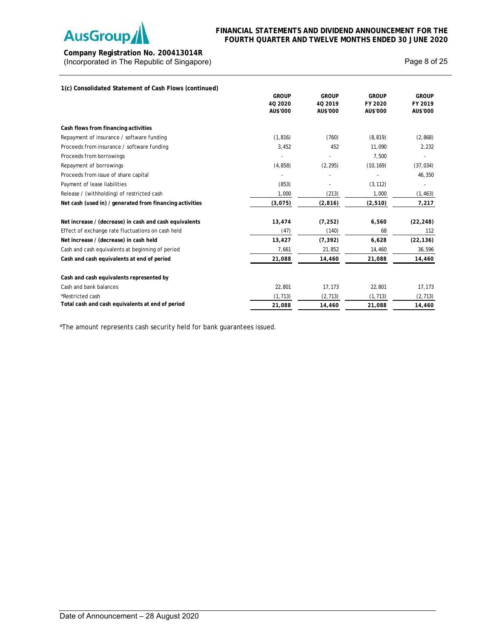

**Company Registration No. 200413014R** (Incorporated in The Republic of Singapore) and the extra set of 25 and 25 and 25

| 1(c) Consolidated Statement of Cash Flows (continued)    |              |              |              |              |
|----------------------------------------------------------|--------------|--------------|--------------|--------------|
|                                                          | <b>GROUP</b> | <b>GROUP</b> | <b>GROUP</b> | <b>GROUP</b> |
|                                                          | 40 20 20     | 40 2019      | FY 2020      | FY 2019      |
|                                                          | AU\$'000     | AU\$'000     | AU\$'000     | AU\$'000     |
| Cash flows from financing activities                     |              |              |              |              |
| Repayment of insurance / software funding                | (1, 816)     | (760)        | (8, 819)     | (2, 868)     |
| Proceeds from insurance / software funding               | 3,452        | 452          | 11,090       | 2,232        |
| Proceeds from borrowings                                 |              |              | 7,500        |              |
| Repayment of borrowings                                  | (4, 858)     | (2, 295)     | (10, 169)    | (37, 034)    |
| Proceeds from issue of share capital                     |              |              |              | 46,350       |
| Payment of lease liabilities                             | (853)        |              | (3, 112)     |              |
| Release / (withholding) of restricted cash               | 1,000        | (213)        | 1,000        | (1, 463)     |
| Net cash (used in) / generated from financing activities | (3,075)      | (2, 816)     | (2, 510)     | 7,217        |
| Net increase / (decrease) in cash and cash equivalents   | 13,474       | (7, 252)     | 6,560        | (22, 248)    |
| Effect of exchange rate fluctuations on cash held        | (47)         | (140)        | 68           | 112          |
| Net increase / (decrease) in cash held                   | 13,427       | (7, 392)     | 6,628        | (22, 136)    |
| Cash and cash equivalents at beginning of period         | 7,661        | 21,852       | 14,460       | 36,596       |
| Cash and cash equivalents at end of period               | 21,088       | 14,460       | 21,088       | 14,460       |
| Cash and cash equivalents represented by                 |              |              |              |              |
| Cash and bank balances                                   | 22,801       | 17,173       | 22,801       | 17,173       |
| *Restricted cash                                         | (1, 713)     | (2, 713)     | (1, 713)     | (2, 713)     |
| Total cash and cash equivalents at end of period         | 21,088       | 14,460       | 21,088       | 14,460       |

\*The amount represents cash security held for bank guarantees issued.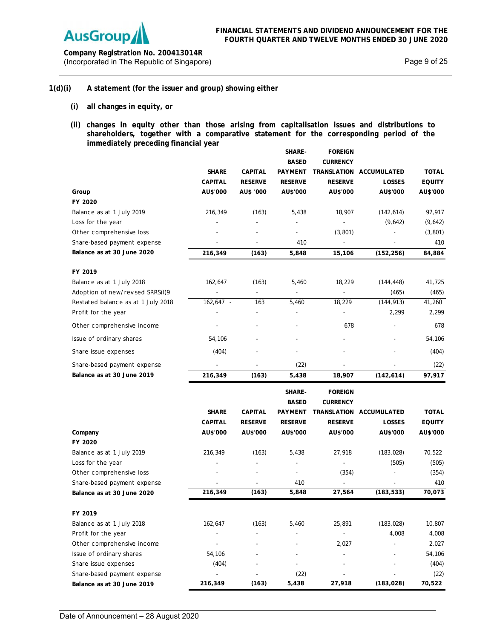

**Company Registration No. 200413014R** (Incorporated in The Republic of Singapore) and the extra set of 25 Page 9 of 25

# **1(d)(i) A statement (for the issuer and group) showing either**

- **(i) all changes in equity, or**
- **(ii) changes in equity other than those arising from capitalisation issues and distributions to shareholders, together with a comparative statement for the corresponding period of the immediately preceding financial year SHARE-FOREIGN**

|                                    |                          |                | <b>SHARE-</b>  | <b>FOREIGN</b>           |                         |               |
|------------------------------------|--------------------------|----------------|----------------|--------------------------|-------------------------|---------------|
|                                    |                          |                | <b>BASED</b>   | <b>CURRENCY</b>          |                         |               |
|                                    | <b>SHARE</b>             | <b>CAPITAL</b> | <b>PAYMENT</b> |                          | TRANSLATION ACCUMULATED | <b>TOTAL</b>  |
|                                    | <b>CAPITAL</b>           | <b>RESERVE</b> | <b>RESERVE</b> | <b>RESERVE</b>           | LOSSES                  | <b>EQUITY</b> |
| Group                              | AU\$'000                 | AU\$ '000      | AU\$'000       | AU\$'000                 | AU\$'000                | AU\$'000      |
| FY 2020                            |                          |                |                |                          |                         |               |
| Balance as at 1 July 2019          | 216,349                  | (163)          | 5,438          | 18,907                   | (142, 614)              | 97,917        |
| Loss for the year                  |                          |                |                | $\overline{\phantom{a}}$ | (9,642)                 | (9,642)       |
| Other comprehensive loss           |                          |                |                | (3,801)                  |                         | (3, 801)      |
| Share-based payment expense        |                          |                | 410            | ÷,                       |                         | 410           |
| Balance as at 30 June 2020         | 216,349                  | (163)          | 5,848          | 15,106                   | (152, 256)              | 84,884        |
| FY 2019                            |                          |                |                |                          |                         |               |
| Balance as at 1 July 2018          | 162,647                  | (163)          | 5,460          | 18,229                   | (144, 448)              | 41,725        |
| Adoption of new/revised SRRS(I)9   |                          |                |                | ÷,                       | (465)                   | (465)         |
| Restated balance as at 1 July 2018 | 162,647 -                | 163            | 5,460          | 18,229                   | (144, 913)              | 41,260        |
| Profit for the year                |                          |                |                | ÷,                       | 2,299                   | 2,299         |
| Other comprehensive income         |                          |                |                | 678                      |                         | 678           |
| Issue of ordinary shares           | 54,106                   |                |                |                          |                         | 54,106        |
| Share issue expenses               | (404)                    |                |                |                          |                         | (404)         |
| Share-based payment expense        |                          |                | (22)           |                          |                         | (22)          |
| Balance as at 30 June 2019         | 216,349                  | (163)          | 5,438          | 18,907                   | (142, 614)              | 97,917        |
|                                    |                          |                |                |                          |                         |               |
|                                    |                          |                | SHARE-         | <b>FOREIGN</b>           |                         |               |
|                                    |                          |                | <b>BASED</b>   | <b>CURRENCY</b>          |                         |               |
|                                    | <b>SHARE</b>             | <b>CAPITAL</b> | <b>PAYMENT</b> |                          | TRANSLATION ACCUMULATED | <b>TOTAL</b>  |
|                                    | CAPITAL                  | <b>RESERVE</b> | <b>RESERVE</b> | <b>RESERVE</b>           | LOSSES                  | <b>EQUITY</b> |
| Company<br>FY 2020                 | AU\$'000                 | AU\$'000       | AU\$'000       | AU\$'000                 | AU\$'000                | AU\$'000      |
| Balance as at 1 July 2019          | 216,349                  | (163)          | 5,438          | 27,918                   | (183, 028)              | 70,522        |
| Loss for the year                  |                          |                |                |                          | (505)                   | (505)         |
| Other comprehensive loss           |                          |                | $\overline{a}$ | (354)                    |                         | (354)         |
| Share-based payment expense        |                          |                | 410            |                          |                         | 410           |
| Balance as at 30 June 2020         | 216,349                  | (163)          | 5,848          | 27,564                   | (183, 533)              | 70,073        |
|                                    |                          |                |                |                          |                         |               |
| FY 2019                            |                          |                |                |                          |                         |               |
| Balance as at 1 July 2018          | 162,647                  | (163)          | 5,460          | 25,891                   | (183, 028)              | 10,807        |
| Profit for the year                |                          |                |                |                          | 4,008                   | 4,008         |
| Other comprehensive income         |                          |                |                | 2,027                    |                         | 2,027         |
| Issue of ordinary shares           | 54,106                   |                |                |                          |                         | 54,106        |
| Share issue expenses               | (404)                    |                |                |                          |                         | (404)         |
| Share-based payment expense        | $\overline{\phantom{a}}$ |                | (22)           |                          |                         | (22)          |
| Balance as at 30 June 2019         | 216,349                  | (163)          | 5,438          | 27,918                   | (183, 028)              | 70,522        |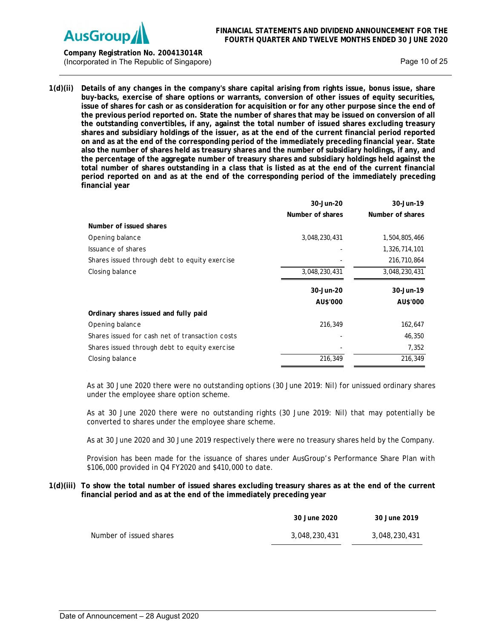

**Company Registration No. 200413014R** (Incorporated in The Republic of Singapore) **Page 10 of 25** Page 10 of 25

**1(d)(ii) Details of any changes in the company's share capital arising from rights issue, bonus issue, share buy-backs, exercise of share options or warrants, conversion of other issues of equity securities, issue of shares for cash or as consideration for acquisition or for any other purpose since the end of the previous period reported on. State the number of shares that may be issued on conversion of all the outstanding convertibles, if any, against the total number of issued shares excluding treasury shares and subsidiary holdings of the issuer, as at the end of the current financial period reported on and as at the end of the corresponding period of the immediately preceding financial year. State also the number of shares held as treasury shares and the number of subsidiary holdings, if any, and the percentage of the aggregate number of treasury shares and subsidiary holdings held against the total number of shares outstanding in a class that is listed as at the end of the current financial period reported on and as at the end of the corresponding period of the immediately preceding financial year** 

|                                                 | 30-Jun-20        | 30-Jun-19        |
|-------------------------------------------------|------------------|------------------|
|                                                 | Number of shares | Number of shares |
| Number of issued shares                         |                  |                  |
| Opening balance                                 | 3,048,230,431    | 1,504,805,466    |
| Issuance of shares                              |                  | 1,326,714,101    |
| Shares issued through debt to equity exercise   |                  | 216,710,864      |
| Closing balance                                 | 3,048,230,431    | 3,048,230,431    |
|                                                 | 30-Jun-20        | 30-Jun-19        |
|                                                 | AU\$'000         | AU\$'000         |
| Ordinary shares issued and fully paid           |                  |                  |
| Opening balance                                 | 216,349          | 162,647          |
| Shares issued for cash net of transaction costs |                  | 46,350           |
| Shares issued through debt to equity exercise   |                  | 7,352            |
| Closing balance                                 | 216,349          | 216,349          |

As at 30 June 2020 there were no outstanding options (30 June 2019: Nil) for unissued ordinary shares under the employee share option scheme.

As at 30 June 2020 there were no outstanding rights (30 June 2019: Nil) that may potentially be converted to shares under the employee share scheme.

As at 30 June 2020 and 30 June 2019 respectively there were no treasury shares held by the Company.

Provision has been made for the issuance of shares under AusGroup's Performance Share Plan with \$106,000 provided in Q4 FY2020 and \$410,000 to date.

**1(d)(iii) To show the total number of issued shares excluding treasury shares as at the end of the current financial period and as at the end of the immediately preceding year** 

|                         | 30 June 2020  | 30 June 2019  |
|-------------------------|---------------|---------------|
| Number of issued shares | 3.048.230.431 | 3,048,230,431 |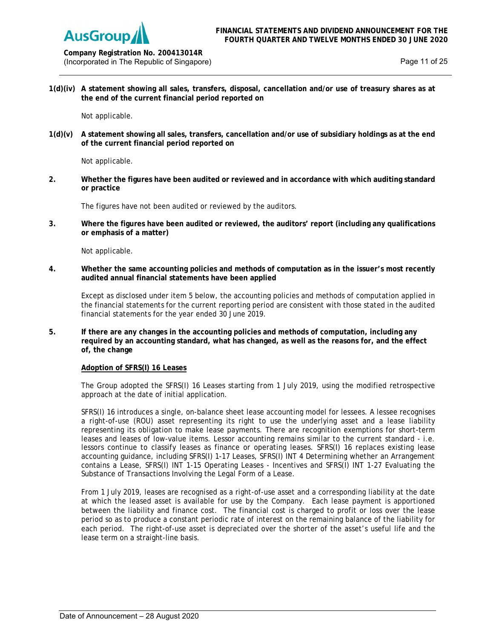

**Company Registration No. 200413014R** (Incorporated in The Republic of Singapore) example 25 and 25 and 25 and 25 and 25 and 25 and 25 and 25 and 25 and 25 and 25 and 25 and 25 and 25 and 25 and 25 and 25 and 25 and 25 and 25 and 25 and 25 and 25 and 25 and 25

**1(d)(iv) A statement showing all sales, transfers, disposal, cancellation and/or use of treasury shares as at the end of the current financial period reported on** 

Not applicable.

**1(d)(v) A statement showing all sales, transfers, cancellation and/or use of subsidiary holdings as at the end of the current financial period reported on** 

Not applicable.

**2. Whether the figures have been audited or reviewed and in accordance with which auditing standard or practice**

The figures have not been audited or reviewed by the auditors.

**3. Where the figures have been audited or reviewed, the auditors' report (including any qualifications or emphasis of a matter)**

Not applicable.

**4. Whether the same accounting policies and methods of computation as in the issuer's most recently audited annual financial statements have been applied**

Except as disclosed under item 5 below, the accounting policies and methods of computation applied in the financial statements for the current reporting period are consistent with those stated in the audited financial statements for the year ended 30 June 2019.

**5. If there are any changes in the accounting policies and methods of computation, including any required by an accounting standard, what has changed, as well as the reasons for, and the effect of, the change**

## **Adoption of SFRS(I) 16 Leases**

The Group adopted the SFRS(I) 16 Leases starting from 1 July 2019, using the modified retrospective approach at the date of initial application.

SFRS(I) 16 introduces a single, on-balance sheet lease accounting model for lessees. A lessee recognises a right-of-use (ROU) asset representing its right to use the underlying asset and a lease liability representing its obligation to make lease payments. There are recognition exemptions for short-term leases and leases of low-value items. Lessor accounting remains similar to the current standard - i.e. lessors continue to classify leases as finance or operating leases. SFRS(I) 16 replaces existing lease accounting guidance, including SFRS(I) 1-17 Leases, SFRS(I) INT 4 Determining whether an Arrangement contains a Lease, SFRS(I) INT 1-15 Operating Leases - Incentives and SFRS(I) INT 1-27 Evaluating the Substance of Transactions Involving the Legal Form of a Lease.

From 1 July 2019, leases are recognised as a right-of-use asset and a corresponding liability at the date at which the leased asset is available for use by the Company. Each lease payment is apportioned between the liability and finance cost. The financial cost is charged to profit or loss over the lease period so as to produce a constant periodic rate of interest on the remaining balance of the liability for each period. The right-of-use asset is depreciated over the shorter of the asset's useful life and the lease term on a straight-line basis.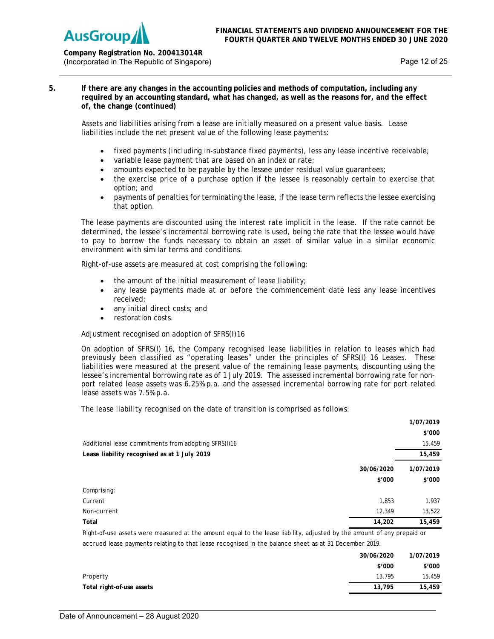

**Company Registration No. 200413014R** (Incorporated in The Republic of Singapore) **Page 12 of 25** and 25 and 25 and 26 and 26 and 26 and 25 and 25 and 26 and 26 and 26 and 26 and 26 and 26 and 26 and 26 and 26 and 26 and 26 and 26 and 26 and 26 and 26 and 27 a

**5. If there are any changes in the accounting policies and methods of computation, including any required by an accounting standard, what has changed, as well as the reasons for, and the effect of, the change (continued)**

Assets and liabilities arising from a lease are initially measured on a present value basis. Lease liabilities include the net present value of the following lease payments:

- fixed payments (including in-substance fixed payments), less any lease incentive receivable;
- variable lease payment that are based on an index or rate;
- amounts expected to be payable by the lessee under residual value guarantees;
- the exercise price of a purchase option if the lessee is reasonably certain to exercise that option; and
- payments of penalties for terminating the lease, if the lease term reflects the lessee exercising that option.

The lease payments are discounted using the interest rate implicit in the lease. If the rate cannot be determined, the lessee's incremental borrowing rate is used, being the rate that the lessee would have to pay to borrow the funds necessary to obtain an asset of similar value in a similar economic environment with similar terms and conditions.

Right-of-use assets are measured at cost comprising the following:

- the amount of the initial measurement of lease liability;
- any lease payments made at or before the commencement date less any lease incentives received;
- any initial direct costs; and
- restoration costs.

Adjustment recognised on adoption of SFRS(I)16

On adoption of SFRS(I) 16, the Company recognised lease liabilities in relation to leases which had previously been classified as "operating leases" under the principles of SFRS(I) 16 Leases. These liabilities were measured at the present value of the remaining lease payments, discounting using the lessee's incremental borrowing rate as of 1 July 2019. The assessed incremental borrowing rate for nonport related lease assets was 6.25% p.a. and the assessed incremental borrowing rate for port related lease assets was 7.5% p.a.

The lease liability recognised on the date of transition is comprised as follows:

|                                                                                                                                                                                                                               |            | 1/07/2019 |
|-------------------------------------------------------------------------------------------------------------------------------------------------------------------------------------------------------------------------------|------------|-----------|
|                                                                                                                                                                                                                               |            | \$'000    |
| Additional lease commitments from adopting SFRS(I)16                                                                                                                                                                          |            | 15,459    |
| Lease liability recognised as at 1 July 2019                                                                                                                                                                                  |            | 15,459    |
|                                                                                                                                                                                                                               | 30/06/2020 | 1/07/2019 |
|                                                                                                                                                                                                                               | \$'000     | \$'000    |
| Comprising:                                                                                                                                                                                                                   |            |           |
| Current                                                                                                                                                                                                                       | 1,853      | 1,937     |
| Non-current                                                                                                                                                                                                                   | 12,349     | 13,522    |
| Total                                                                                                                                                                                                                         | 14,202     | 15,459    |
| . The contract of the contract of the contract of the contract of the contract of the contract of the contract of the contract of the contract of the contract of the contract of the contract of the contract of the contrac |            |           |

Right-of-use assets were measured at the amount equal to the lease liability, adjusted by the amount of any prepaid or accrued lease payments relating to that lease recognised in the balance sheet as at 31 December 2019.

|                           | 30/06/2020 | 1/07/2019 |
|---------------------------|------------|-----------|
|                           | \$'000     | \$′000    |
| Property                  | 13,795     | 15,459    |
| Total right-of-use assets | 13,795     | 15,459    |
|                           |            |           |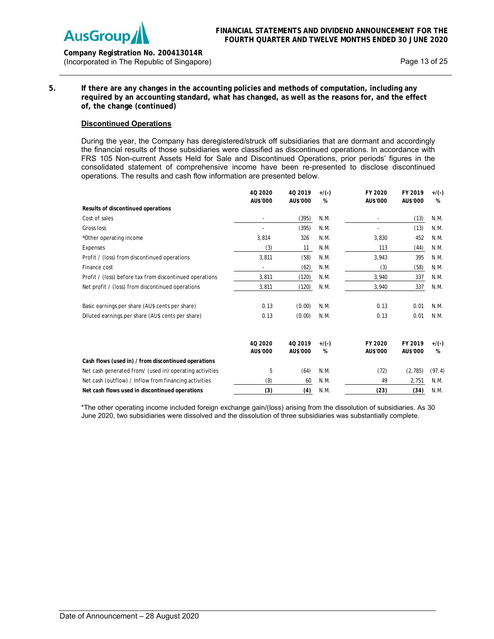

**Company Registration No. 200413014R** (Incorporated in The Republic of Singapore) Page 13 of 25

**5. If there are any changes in the accounting policies and methods of computation, including any required by an accounting standard, what has changed, as well as the reasons for, and the effect of, the change (continued)** 

# **Discontinued Operations**

During the year, the Company has deregistered/struck off subsidiaries that are dormant and accordingly the financial results of those subsidiaries were classified as discontinued operations. In accordance with FRS 105 Non-current Assets Held for Sale and Discontinued Operations, prior periods' figures in the consolidated statement of comprehensive income have been re-presented to disclose discontinued operations. The results and cash flow information are presented below.

|                                                         | 40 20 20<br>AU\$'000 | 40 2019<br>AU\$'000 | $+$ /(-)<br>% | FY 2020<br>AU\$'000 | FY 2019<br>AU\$'000 | $+$ /(-)<br>% |
|---------------------------------------------------------|----------------------|---------------------|---------------|---------------------|---------------------|---------------|
| Results of discontinued operations                      |                      |                     |               |                     |                     |               |
| Cost of sales                                           |                      | (395)               | N.M.          |                     | (13)                | N.M.          |
| Gross loss                                              |                      | (395)               | N.M.          |                     | (13)                | N.M.          |
| *Other operating income                                 | 3,814                | 326                 | N.M.          | 3,830               | 452                 | N.M.          |
| Expenses                                                | (3)                  | 11                  | N.M.          | 113                 | (44)                | N.M.          |
| Profit / (loss) from discontinued operations            | 3,811                | (58)                | N.M.          | 3,943               | 395                 | N.M.          |
| Finance cost                                            |                      | (62)                | N.M.          | (3)                 | (58)                | N.M.          |
| Profit / (loss) before tax from discontinued operations | 3,811                | (120)               | N.M.          | 3,940               | 337                 | N.M.          |
| Net profit / (loss) from discontinued operations        | 3,811                | (120)               | N.M.          | 3,940               | 337                 | N.M.          |
| Basic earnings per share (AU\$ cents per share)         | 0.13                 | (0.00)              | N.M.          | 0.13                | 0.01                | N.M.          |
| Diluted earnings per share (AU\$ cents per share)       | 0.13                 | (0.00)              | N.M.          | 0.13                | 0.01                | N.M.          |
|                                                         | 40 20 20             | 40 2019             | $+$ /(-)      | FY 2020             | FY 2019             | $+$ /(-)      |
| Cash flows (used in) / from discontinued operations     | AU\$'000             | AU\$'000            | %             | AU\$'000            | AU\$'000            | %             |
|                                                         |                      |                     |               |                     |                     |               |
| Net cash generated from/ (used in) operating activities | 5                    | (64)                | N.M.          | (72)                | (2,785)             | (97.4)        |
| Net cash (outflow) / Inflow from financing activities   | (8)                  | 60                  | N.M.          | 49                  | 2,751               | N.M.          |
| Net cash flows used in discontinued operations          | (3)                  | (4)                 | N.M.          | (23)                | (34)                | N.M.          |

\*The other operating income included foreign exchange gain/(loss) arising from the dissolution of subsidiaries. As 30 June 2020, two subsidiaries were dissolved and the dissolution of three subsidiaries was substantially complete.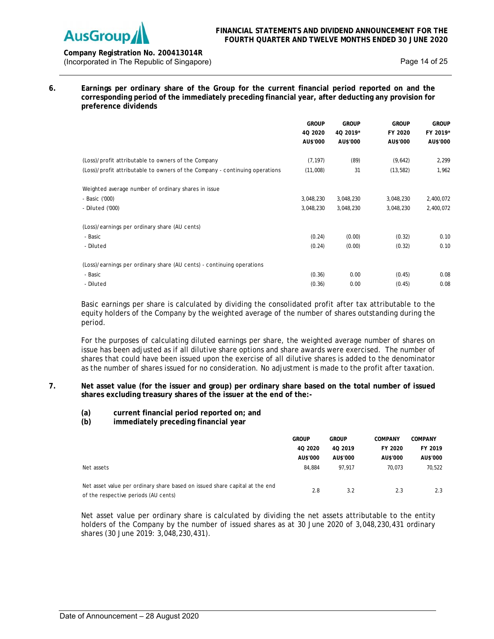

# **Company Registration No. 200413014R** (Incorporated in The Republic of Singapore) example 25 and 25 and 25 and 25 and 25 and 25 and 25 and 25 and 25 and 25 and 25 and 25 and 25 and 25 and 25 and 25 and 25 and 25 and 25 and 25 and 25 and 25 and 25 and 25 and 25

**6. Earnings per ordinary share of the Group for the current financial period reported on and the corresponding period of the immediately preceding financial year, after deducting any provision for preference dividends**

|                                                                             | <b>GROUP</b> | <b>GROUP</b> | <b>GROUP</b> | <b>GROUP</b> |
|-----------------------------------------------------------------------------|--------------|--------------|--------------|--------------|
|                                                                             | 4Q 2020      | 4Q 2019*     | FY 2020      | FY 2019*     |
|                                                                             | AU\$'000     | AU\$'000     | AU\$'000     | AU\$'000     |
| (Loss)/profit attributable to owners of the Company                         | (7, 197)     | (89)         | (9,642)      | 2,299        |
|                                                                             | (11,008)     | 31           |              | 1,962        |
| (Loss)/profit attributable to owners of the Company - continuing operations |              |              | (13, 582)    |              |
| Weighted average number of ordinary shares in issue                         |              |              |              |              |
| - Basic ('000)                                                              | 3,048,230    | 3,048,230    | 3,048,230    | 2,400,072    |
| - Diluted ('000)                                                            | 3,048,230    | 3,048,230    | 3,048,230    | 2,400,072    |
| (Loss)/earnings per ordinary share (AU cents)                               |              |              |              |              |
| - Basic                                                                     | (0.24)       | (0.00)       | (0.32)       | 0.10         |
| - Diluted                                                                   | (0.24)       | (0.00)       | (0.32)       | 0.10         |
| (Loss)/earnings per ordinary share (AU cents) - continuing operations       |              |              |              |              |
| - Basic                                                                     | (0.36)       | 0.00         | (0.45)       | 0.08         |
| - Diluted                                                                   | (0.36)       | 0.00         | (0.45)       | 0.08         |

Basic earnings per share is calculated by dividing the consolidated profit after tax attributable to the equity holders of the Company by the weighted average of the number of shares outstanding during the period.

For the purposes of calculating diluted earnings per share, the weighted average number of shares on issue has been adjusted as if all dilutive share options and share awards were exercised. The number of shares that could have been issued upon the exercise of all dilutive shares is added to the denominator as the number of shares issued for no consideration. No adjustment is made to the profit after taxation.

# **7. Net asset value (for the issuer and group) per ordinary share based on the total number of issued shares excluding treasury shares of the issuer at the end of the:-**

# **(a) current financial period reported on; and**

**(b) immediately preceding financial year** 

|                                                                             | <b>GROUP</b> | <b>GROUP</b> | COMPANY  | <b>COMPANY</b> |
|-----------------------------------------------------------------------------|--------------|--------------|----------|----------------|
|                                                                             | 40 2020      | 40 2019      | FY 2020  | FY 2019        |
|                                                                             | AU\$'000     | AU\$'000     | AU\$'000 | AU\$'000       |
| Net assets                                                                  | 84.884       | 97.917       | 70.073   | 70.522         |
|                                                                             |              |              |          |                |
| Net asset value per ordinary share based on issued share capital at the end | 2.8          | 3.2          | 2.3      | 2.3            |
| of the respective periods (AU cents)                                        |              |              |          |                |

Net asset value per ordinary share is calculated by dividing the net assets attributable to the entity holders of the Company by the number of issued shares as at 30 June 2020 of 3,048,230,431 ordinary shares (30 June 2019: 3,048,230,431).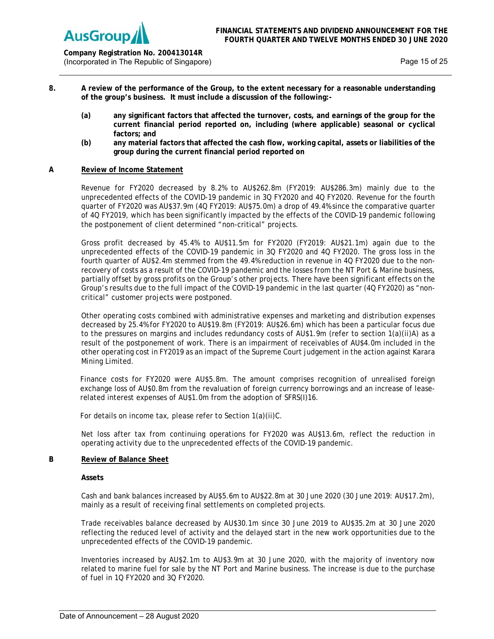

**Company Registration No. 200413014R** (Incorporated in The Republic of Singapore) Network and Security Page 15 of 25

- **8. A review of the performance of the Group, to the extent necessary for a reasonable understanding of the group's business. It must include a discussion of the following:-**
	- **(a) any significant factors that affected the turnover, costs, and earnings of the group for the current financial period reported on, including (where applicable) seasonal or cyclical factors; and**
	- **(b) any material factors that affected the cash flow, working capital, assets or liabilities of the group during the current financial period reported on**

## **A Review of Income Statement**

Revenue for FY2020 decreased by 8.2% to AU\$262.8m (FY2019: AU\$286.3m) mainly due to the unprecedented effects of the COVID-19 pandemic in 3Q FY2020 and 4Q FY2020. Revenue for the fourth quarter of FY2020 was AU\$37.9m (4Q FY2019: AU\$75.0m) a drop of 49.4% since the comparative quarter of 4Q FY2019, which has been significantly impacted by the effects of the COVID-19 pandemic following the postponement of client determined "non-critical" projects.

Gross profit decreased by 45.4% to AU\$11.5m for FY2020 (FY2019: AU\$21.1m) again due to the unprecedented effects of the COVID-19 pandemic in 3Q FY2020 and 4Q FY2020. The gross loss in the fourth quarter of AU\$2.4m stemmed from the 49.4% reduction in revenue in 4Q FY2020 due to the nonrecovery of costs as a result of the COVID-19 pandemic and the losses from the NT Port & Marine business, partially offset by gross profits on the Group's other projects. There have been significant effects on the Group's results due to the full impact of the COVID-19 pandemic in the last quarter (4Q FY2020) as "noncritical" customer projects were postponed.

Other operating costs combined with administrative expenses and marketing and distribution expenses decreased by 25.4% for FY2020 to AU\$19.8m (FY2019: AU\$26.6m) which has been a particular focus due to the pressures on margins and includes redundancy costs of AU\$1.9m (refer to section 1(a)(ii)A) as a result of the postponement of work. There is an impairment of receivables of AU\$4.0m included in the other operating cost in FY2019 as an impact of the Supreme Court judgement in the action against Karara Mining Limited.

Finance costs for FY2020 were AU\$5.8m. The amount comprises recognition of unrealised foreign exchange loss of AU\$0.8m from the revaluation of foreign currency borrowings and an increase of leaserelated interest expenses of AU\$1.0m from the adoption of SFRS(I)16.

For details on income tax, please refer to Section 1(a)(ii)C.

Net loss after tax from continuing operations for FY2020 was AU\$13.6m, reflect the reduction in operating activity due to the unprecedented effects of the COVID-19 pandemic.

#### **B Review of Balance Sheet**

**Assets** 

Cash and bank balances increased by AU\$5.6m to AU\$22.8m at 30 June 2020 (30 June 2019: AU\$17.2m), mainly as a result of receiving final settlements on completed projects.

Trade receivables balance decreased by AU\$30.1m since 30 June 2019 to AU\$35.2m at 30 June 2020 reflecting the reduced level of activity and the delayed start in the new work opportunities due to the unprecedented effects of the COVID-19 pandemic.

Inventories increased by AU\$2.1m to AU\$3.9m at 30 June 2020, with the majority of inventory now related to marine fuel for sale by the NT Port and Marine business. The increase is due to the purchase of fuel in 1Q FY2020 and 3Q FY2020.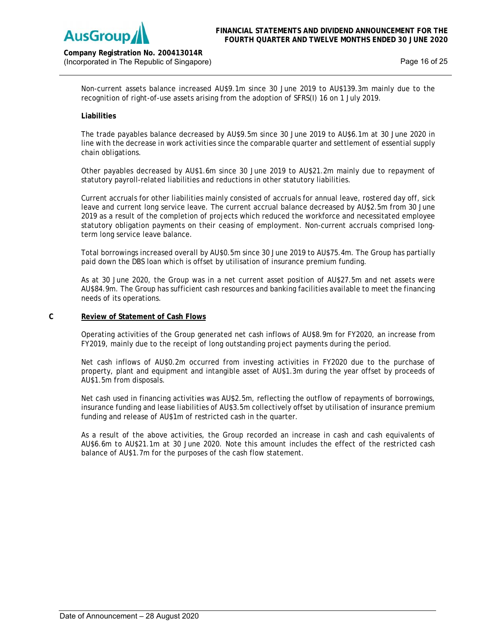

Non-current assets balance increased AU\$9.1m since 30 June 2019 to AU\$139.3m mainly due to the recognition of right-of-use assets arising from the adoption of SFRS(I) 16 on 1 July 2019.

# **Liabilities**

The trade payables balance decreased by AU\$9.5m since 30 June 2019 to AU\$6.1m at 30 June 2020 in line with the decrease in work activities since the comparable quarter and settlement of essential supply chain obligations.

Other payables decreased by AU\$1.6m since 30 June 2019 to AU\$21.2m mainly due to repayment of statutory payroll-related liabilities and reductions in other statutory liabilities.

Current accruals for other liabilities mainly consisted of accruals for annual leave, rostered day off, sick leave and current long service leave. The current accrual balance decreased by AU\$2.5m from 30 June 2019 as a result of the completion of projects which reduced the workforce and necessitated employee statutory obligation payments on their ceasing of employment. Non-current accruals comprised longterm long service leave balance.

Total borrowings increased overall by AU\$0.5m since 30 June 2019 to AU\$75.4m. The Group has partially paid down the DBS loan which is offset by utilisation of insurance premium funding.

As at 30 June 2020, the Group was in a net current asset position of AU\$27.5m and net assets were AU\$84.9m. The Group has sufficient cash resources and banking facilities available to meet the financing needs of its operations.

## **C Review of Statement of Cash Flows**

Operating activities of the Group generated net cash inflows of AU\$8.9m for FY2020, an increase from FY2019, mainly due to the receipt of long outstanding project payments during the period.

Net cash inflows of AU\$0.2m occurred from investing activities in FY2020 due to the purchase of property, plant and equipment and intangible asset of AU\$1.3m during the year offset by proceeds of AU\$1.5m from disposals.

Net cash used in financing activities was AU\$2.5m, reflecting the outflow of repayments of borrowings, insurance funding and lease liabilities of AU\$3.5m collectively offset by utilisation of insurance premium funding and release of AU\$1m of restricted cash in the quarter.

As a result of the above activities, the Group recorded an increase in cash and cash equivalents of AU\$6.6m to AU\$21.1m at 30 June 2020. Note this amount includes the effect of the restricted cash balance of AU\$1.7m for the purposes of the cash flow statement.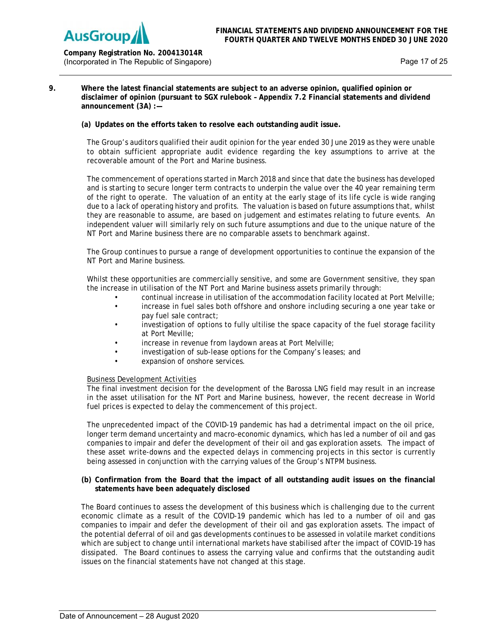

**Company Registration No. 200413014R** (Incorporated in The Republic of Singapore) Network and Security Page 17 of 25

# **9. Where the latest financial statements are subject to an adverse opinion, qualified opinion or disclaimer of opinion (pursuant to SGX rulebook – Appendix 7.2 Financial statements and dividend announcement (3A) :—**

**(a) Updates on the efforts taken to resolve each outstanding audit issue.** 

The Group's auditors qualified their audit opinion for the year ended 30 June 2019 as they were unable to obtain sufficient appropriate audit evidence regarding the key assumptions to arrive at the recoverable amount of the Port and Marine business.

The commencement of operations started in March 2018 and since that date the business has developed and is starting to secure longer term contracts to underpin the value over the 40 year remaining term of the right to operate. The valuation of an entity at the early stage of its life cycle is wide ranging due to a lack of operating history and profits. The valuation is based on future assumptions that, whilst they are reasonable to assume, are based on judgement and estimates relating to future events. An independent valuer will similarly rely on such future assumptions and due to the unique nature of the NT Port and Marine business there are no comparable assets to benchmark against.

The Group continues to pursue a range of development opportunities to continue the expansion of the NT Port and Marine business.

Whilst these opportunities are commercially sensitive, and some are Government sensitive, they span the increase in utilisation of the NT Port and Marine business assets primarily through:

- continual increase in utilisation of the accommodation facility located at Port Melville;
- increase in fuel sales both offshore and onshore including securing a one year take or pay fuel sale contract;
- investigation of options to fully ultilise the space capacity of the fuel storage facility at Port Meville;
- increase in revenue from laydown areas at Port Melville;
- investigation of sub-lease options for the Company's leases; and
- expansion of onshore services.

## Business Development Activities

The final investment decision for the development of the Barossa LNG field may result in an increase in the asset utilisation for the NT Port and Marine business, however, the recent decrease in World fuel prices is expected to delay the commencement of this project.

The unprecedented impact of the COVID-19 pandemic has had a detrimental impact on the oil price, longer term demand uncertainty and macro-economic dynamics, which has led a number of oil and gas companies to impair and defer the development of their oil and gas exploration assets. The impact of these asset write-downs and the expected delays in commencing projects in this sector is currently being assessed in conjunction with the carrying values of the Group's NTPM business.

# **(b) Confirmation from the Board that the impact of all outstanding audit issues on the financial statements have been adequately disclosed**

The Board continues to assess the development of this business which is challenging due to the current economic climate as a result of the COVID-19 pandemic which has led to a number of oil and gas companies to impair and defer the development of their oil and gas exploration assets. The impact of the potential deferral of oil and gas developments continues to be assessed in volatile market conditions which are subject to change until international markets have stabilised after the impact of COVID-19 has dissipated. The Board continues to assess the carrying value and confirms that the outstanding audit issues on the financial statements have not changed at this stage.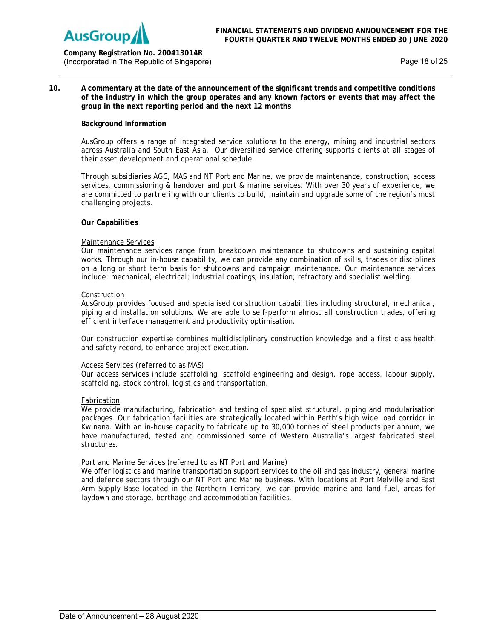

# **Company Registration No. 200413014R** (Incorporated in The Republic of Singapore) New York 1980 States and the Page 18 of 25

## **10. A commentary at the date of the announcement of the significant trends and competitive conditions of the industry in which the group operates and any known factors or events that may affect the group in the next reporting period and the next 12 months**

# **Background Information**

AusGroup offers a range of integrated service solutions to the energy, mining and industrial sectors across Australia and South East Asia. Our diversified service offering supports clients at all stages of their asset development and operational schedule.

Through subsidiaries AGC, MAS and NT Port and Marine, we provide maintenance, construction, access services, commissioning & handover and port & marine services. With over 30 years of experience, we are committed to partnering with our clients to build, maintain and upgrade some of the region's most challenging projects.

## **Our Capabilities**

## Maintenance Services

Our maintenance services range from breakdown maintenance to shutdowns and sustaining capital works. Through our in-house capability, we can provide any combination of skills, trades or disciplines on a long or short term basis for shutdowns and campaign maintenance. Our maintenance services include: mechanical; electrical; industrial coatings; insulation; refractory and specialist welding.

## Construction

AusGroup provides focused and specialised construction capabilities including structural, mechanical, piping and installation solutions. We are able to self-perform almost all construction trades, offering efficient interface management and productivity optimisation.

Our construction expertise combines multidisciplinary construction knowledge and a first class health and safety record, to enhance project execution.

## Access Services (referred to as MAS)

Our access services include scaffolding, scaffold engineering and design, rope access, labour supply, scaffolding, stock control, logistics and transportation.

## Fabrication

We provide manufacturing, fabrication and testing of specialist structural, piping and modularisation packages. Our fabrication facilities are strategically located within Perth's high wide load corridor in Kwinana. With an in-house capacity to fabricate up to 30,000 tonnes of steel products per annum, we have manufactured, tested and commissioned some of Western Australia's largest fabricated steel structures.

## Port and Marine Services (referred to as NT Port and Marine)

We offer logistics and marine transportation support services to the oil and gas industry, general marine and defence sectors through our NT Port and Marine business. With locations at Port Melville and East Arm Supply Base located in the Northern Territory, we can provide marine and land fuel, areas for laydown and storage, berthage and accommodation facilities.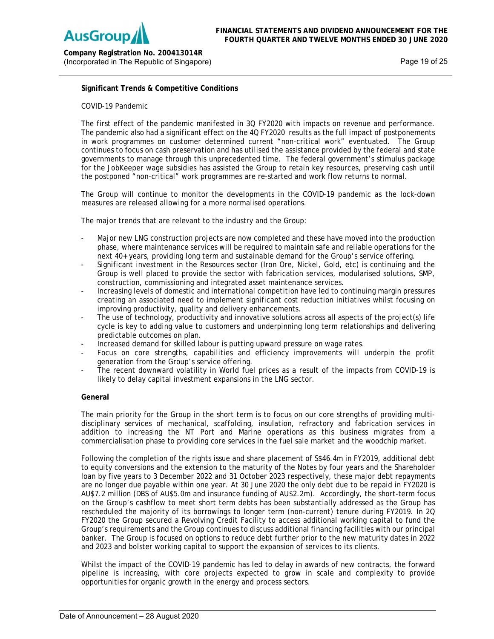

**Company Registration No. 200413014R** (Incorporated in The Republic of Singapore) New York 1980 States and the Page 19 of 25

# **Significant Trends & Competitive Conditions**

# COVID-19 Pandemic

The first effect of the pandemic manifested in 3Q FY2020 with impacts on revenue and performance. The pandemic also had a significant effect on the 4Q FY2020 results as the full impact of postponements in work programmes on customer determined current "non-critical work" eventuated. The Group continues to focus on cash preservation and has utilised the assistance provided by the federal and state governments to manage through this unprecedented time. The federal government's stimulus package for the JobKeeper wage subsidies has assisted the Group to retain key resources, preserving cash until the postponed "non-critical" work programmes are re-started and work flow returns to normal.

The Group will continue to monitor the developments in the COVID-19 pandemic as the lock-down measures are released allowing for a more normalised operations.

The major trends that are relevant to the industry and the Group:

- Major new LNG construction projects are now completed and these have moved into the production phase, where maintenance services will be required to maintain safe and reliable operations for the next 40+ years, providing long term and sustainable demand for the Group's service offering.
- Significant investment in the Resources sector (Iron Ore, Nickel, Gold, etc) is continuing and the Group is well placed to provide the sector with fabrication services, modularised solutions, SMP, construction, commissioning and integrated asset maintenance services.
- Increasing levels of domestic and international competition have led to continuing margin pressures creating an associated need to implement significant cost reduction initiatives whilst focusing on improving productivity, quality and delivery enhancements.
- The use of technology, productivity and innovative solutions across all aspects of the project(s) life cycle is key to adding value to customers and underpinning long term relationships and delivering predictable outcomes on plan.
- Increased demand for skilled labour is putting upward pressure on wage rates.
- Focus on core strengths, capabilities and efficiency improvements will underpin the profit generation from the Group's service offering.
- The recent downward volatility in World fuel prices as a result of the impacts from COVID-19 is likely to delay capital investment expansions in the LNG sector.

## **General**

The main priority for the Group in the short term is to focus on our core strengths of providing multidisciplinary services of mechanical, scaffolding, insulation, refractory and fabrication services in addition to increasing the NT Port and Marine operations as this business migrates from a commercialisation phase to providing core services in the fuel sale market and the woodchip market.

Following the completion of the rights issue and share placement of S\$46.4m in FY2019, additional debt to equity conversions and the extension to the maturity of the Notes by four years and the Shareholder loan by five years to 3 December 2022 and 31 October 2023 respectively, these major debt repayments are no longer due payable within one year. At 30 June 2020 the only debt due to be repaid in FY2020 is AU\$7.2 million (DBS of AU\$5.0m and insurance funding of AU\$2.2m). Accordingly, the short-term focus on the Group's cashflow to meet short term debts has been substantially addressed as the Group has rescheduled the majority of its borrowings to longer term (non-current) tenure during FY2019. In 2Q FY2020 the Group secured a Revolving Credit Facility to access additional working capital to fund the Group's requirements and the Group continues to discuss additional financing facilities with our principal banker. The Group is focused on options to reduce debt further prior to the new maturity dates in 2022 and 2023 and bolster working capital to support the expansion of services to its clients.

Whilst the impact of the COVID-19 pandemic has led to delay in awards of new contracts, the forward pipeline is increasing, with core projects expected to grow in scale and complexity to provide opportunities for organic growth in the energy and process sectors.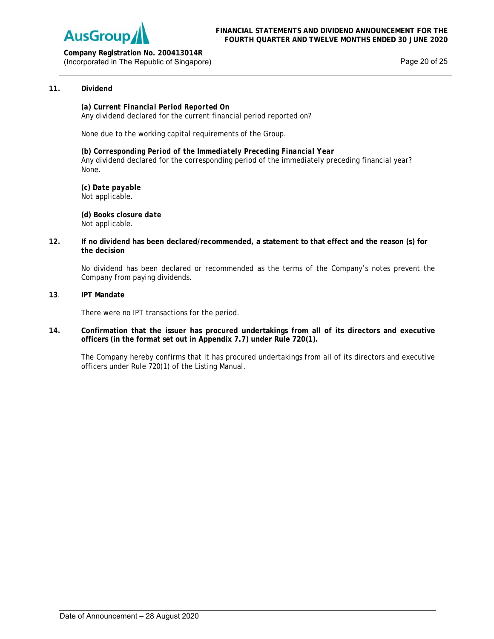

**Company Registration No. 200413014R** (Incorporated in The Republic of Singapore) example 20 of 25

# **11. Dividend**

*(a) Current Financial Period Reported On* Any dividend declared for the current financial period reported on?

None due to the working capital requirements of the Group.

*(b) Corresponding Period of the Immediately Preceding Financial Year*  Any dividend declared for the corresponding period of the immediately preceding financial year? None.

*(c) Date payable*  Not applicable.

 **(***d) Books closure date* Not applicable.

**12. If no dividend has been declared/recommended, a statement to that effect and the reason (s) for the decision**

 No dividend has been declared or recommended as the terms of the Company's notes prevent the Company from paying dividends.

**13**. **IPT Mandate** 

There were no IPT transactions for the period.

**14. Confirmation that the issuer has procured undertakings from all of its directors and executive officers (in the format set out in Appendix 7.7) under Rule 720(1).** 

The Company hereby confirms that it has procured undertakings from all of its directors and executive officers under Rule 720(1) of the Listing Manual.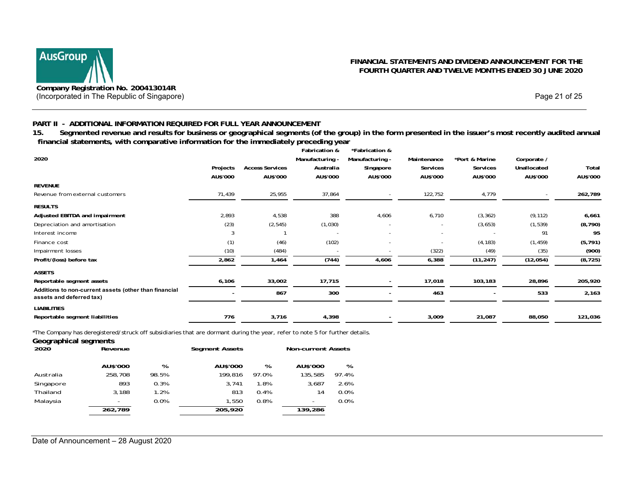

# **PART II - ADDITIONAL INFORMATION REQUIRED FOR FULL YEAR ANNOUNCEMENT**

**15. Segmented revenue and results for business or geographical segments (of the group) in the form presented in the issuer's most recently audited annual financial statements, with comparative information for the immediately preceding year** 

|                                                                                   |          |                        | Fabrication &            | *Fabrication &  |             |                |             |          |
|-----------------------------------------------------------------------------------|----------|------------------------|--------------------------|-----------------|-------------|----------------|-------------|----------|
| 2020                                                                              |          |                        | Manufacturing -          | Manufacturing - | Maintenance | *Port & Marine | Corporate / |          |
|                                                                                   | Projects | <b>Access Services</b> | Australia                | Singapore       | Services    | Services       | Unallocated | Total    |
|                                                                                   | AU\$'000 | AU\$'000               | AU\$'000                 | AU\$'000        | AU\$'000    | AU\$'000       | AU\$'000    | AU\$'000 |
| <b>REVENUE</b>                                                                    |          |                        |                          |                 |             |                |             |          |
| Revenue from external customers                                                   | 71,439   | 25,955                 | 37,864                   |                 | 122,752     | 4,779          |             | 262,789  |
| <b>RESULTS</b>                                                                    |          |                        |                          |                 |             |                |             |          |
| Adjusted EBITDA and impairment                                                    | 2,893    | 4,538                  | 388                      | 4,606           | 6,710       | (3, 362)       | (9, 112)    | 6,661    |
| Depreciation and amortisation                                                     | (23)     | (2, 545)               | (1,030)                  |                 |             | (3,653)        | (1, 539)    | (8, 790) |
| Interest income                                                                   | 3        |                        |                          |                 |             |                | 91          | 95       |
| Finance cost                                                                      | (1)      | (46)                   | (102)                    |                 |             | (4, 183)       | (1, 459)    | (5, 791) |
| Impairment losses                                                                 | (10)     | (484)                  | $\overline{\phantom{a}}$ |                 | (322)       | (49)           | (35)        | (900)    |
| Profit/(loss) before tax                                                          | 2,862    | 1,464                  | (744)                    | 4,606           | 6,388       | (11, 247)      | (12,054)    | (8, 725) |
| <b>ASSETS</b>                                                                     |          |                        |                          |                 |             |                |             |          |
| Reportable segment assets                                                         | 6,106    | 33,002                 | 17,715                   |                 | 17,018      | 103,183        | 28,896      | 205,920  |
| Additions to non-current assets (other than financial<br>assets and deferred tax) |          | 867                    | 300                      |                 | 463         |                | 533         | 2,163    |
| <b>LIABILITIES</b>                                                                |          |                        |                          |                 |             |                |             |          |
| Reportable segment liabilities                                                    | 776      | 3,716                  | 4,398                    |                 | 3,009       | 21,087         | 88,050      | 121,036  |

\*The Company has deregistered/struck off subsidiaries that are dormant during the year, refer to note 5 for further details.

| Geographical segments |          |       |                       |       |                           |       |
|-----------------------|----------|-------|-----------------------|-------|---------------------------|-------|
| 2020                  | Revenue  |       | <b>Segment Assets</b> |       | <b>Non-current Assets</b> |       |
|                       | AU\$'000 | %     | AU\$'000              | %     | AU\$'000                  | %     |
| Australia             | 258,708  | 98.5% | 199.816               | 97.0% | 135.585                   | 97.4% |
| Singapore             | 893      | 0.3%  | 3.741                 | 1.8%  | 3.687                     | 2.6%  |
| Thailand              | 3.188    | 1.2%  | 813                   | 0.4%  | 14                        | 0.0%  |
| Malaysia              |          | 0.0%  | 1.550                 | 0.8%  | ٠                         | 0.0%  |
|                       | 262,789  |       | 205,920               |       | 139,286                   |       |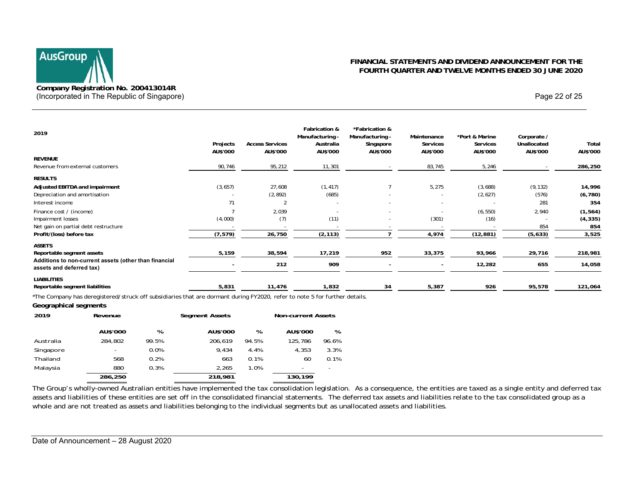# **AusGroup Company Registration No. 200413014R**  (Incorporated in The Republic of Singapore) and the extra set of 25 and 25 of 25 and 22 of 25 and 25 and 25 of 25 and 25 and 25 of 25 and 25 of 25 and 25 of 25 and 26 of 25 and 26 and 27 of 25 and 27 of 25 and 27 of 25 and

# **FINANCIAL STATEMENTS AND DIVIDEND ANNOUNCEMENT FOR THE FOURTH QUARTER AND TWELVE MONTHS ENDED 30 JUNE 2020**

| 2019                                                                                                                       |                      |                                    | Fabrication &<br>Manufacturing - | *Fabrication &<br>Manufacturing - | Maintenance          | *Port & Marine       | Corporate /             |                   |
|----------------------------------------------------------------------------------------------------------------------------|----------------------|------------------------------------|----------------------------------|-----------------------------------|----------------------|----------------------|-------------------------|-------------------|
|                                                                                                                            | Projects<br>AU\$'000 | <b>Access Services</b><br>AU\$'000 | Australia<br>AU\$'000            | Singapore<br>AU\$'000             | Services<br>AU\$'000 | Services<br>AU\$'000 | Unallocated<br>AU\$'000 | Total<br>AU\$'000 |
| <b>REVENUE</b>                                                                                                             |                      |                                    |                                  |                                   |                      |                      |                         |                   |
| Revenue from external customers                                                                                            | 90,746               | 95,212                             | 11,301                           |                                   | 83,745               | 5,246                |                         | 286,250           |
| <b>RESULTS</b>                                                                                                             |                      |                                    |                                  |                                   |                      |                      |                         |                   |
| Adjusted EBITDA and impairment                                                                                             | (3, 657)             | 27,608                             | (1, 417)                         |                                   | 5,275                | (3,688)              | (9, 132)                | 14,996            |
| Depreciation and amortisation                                                                                              |                      | (2, 892)                           | (685)                            |                                   |                      | (2,627)              | (576)                   | (6, 780)          |
| Interest income                                                                                                            | 71                   |                                    |                                  |                                   |                      |                      | 281                     | 354               |
| Finance cost / (income)                                                                                                    |                      | 2,039                              |                                  |                                   |                      | (6, 550)             | 2,940                   | (1, 564)          |
| Impairment losses                                                                                                          | (4,000)              | (7)                                | (11)                             |                                   | (301)                | (16)                 |                         | (4, 335)          |
| Net gain on partial debt restructure                                                                                       |                      |                                    |                                  |                                   |                      |                      | 854                     | 854               |
| Profit/(loss) before tax                                                                                                   | (7, 579)             | 26,750                             | (2, 113)                         |                                   | 4,974                | (12, 881)            | (5,633)                 | 3,525             |
| <b>ASSETS</b>                                                                                                              |                      |                                    |                                  |                                   |                      |                      |                         |                   |
| Reportable segment assets                                                                                                  | 5,159                | 38,594                             | 17,219                           | 952                               | 33,375               | 93,966               | 29,716                  | 218,981           |
| Additions to non-current assets (other than financial<br>assets and deferred tax)                                          |                      | 212                                | 909                              |                                   |                      | 12,282               | 655                     | 14,058            |
| <b>LIABILITIES</b>                                                                                                         |                      |                                    |                                  |                                   |                      |                      |                         |                   |
| Reportable segment liabilities                                                                                             | 5,831                | 11,476                             | 1,832                            | 34                                | 5,387                | 926                  | 95,578                  | 121,064           |
| *The Company has deregistered/struck off subsidiaries that are dormant during FY2020, refer to note 5 for further details. |                      |                                    |                                  |                                   |                      |                      |                         |                   |

#### **Geographical segments**

| 2019      | Revenue  | <b>Segment Assets</b> |          |       | <b>Non-current Assets</b> |       |  |
|-----------|----------|-----------------------|----------|-------|---------------------------|-------|--|
|           | AU\$'000 | %                     | AU\$'000 | %     | AU\$'000                  | %     |  |
| Australia | 284.802  | 99.5%                 | 206.619  | 94.5% | 125.786                   | 96.6% |  |
| Singapore | -        | 0.0%                  | 9.434    | 4.4%  | 4.353                     | 3.3%  |  |
| Thailand  | 568      | 0.2%                  | 663      | 0.1%  | 60                        | 0.1%  |  |
| Malaysia  | 880      | 0.3%                  | 2.265    | 1.0%  |                           |       |  |
|           | 286,250  |                       | 218,981  |       | 130,199                   |       |  |

The Group's wholly-owned Australian entities have implemented the tax consolidation legislation. As a consequence, the entities are taxed as a single entity and deferred tax assets and liabilities of these entities are set off in the consolidated financial statements. The deferred tax assets and liabilities relate to the tax consolidated group as a whole and are not treated as assets and liabilities belonging to the individual segments but as unallocated assets and liabilities.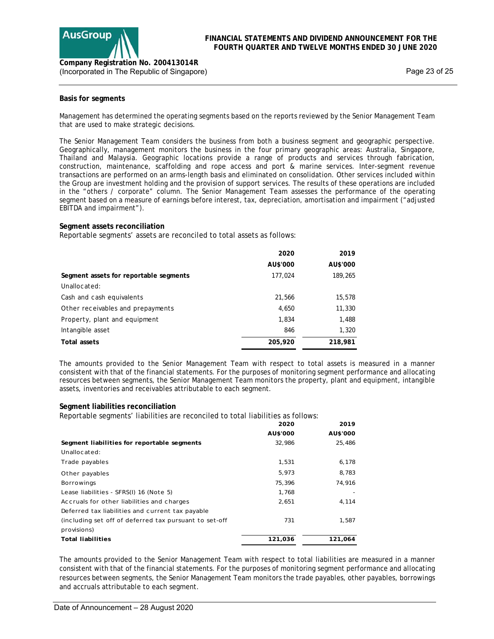

Page 23 of 25

# **Basis for segments**

Management has determined the operating segments based on the reports reviewed by the Senior Management Team that are used to make strategic decisions.

The Senior Management Team considers the business from both a business segment and geographic perspective. Geographically, management monitors the business in the four primary geographic areas: Australia, Singapore, Thailand and Malaysia. Geographic locations provide a range of products and services through fabrication, construction, maintenance, scaffolding and rope access and port & marine services. Inter-segment revenue transactions are performed on an arms-length basis and eliminated on consolidation. Other services included within the Group are investment holding and the provision of support services. The results of these operations are included in the "others / corporate" column. The Senior Management Team assesses the performance of the operating segment based on a measure of earnings before interest, tax, depreciation, amortisation and impairment ("adjusted EBITDA and impairment").

## **Segment assets reconciliation**

Reportable segments' assets are reconciled to total assets as follows:

|                                        | 2020     | 2019     |
|----------------------------------------|----------|----------|
|                                        | AU\$'000 | AU\$'000 |
| Segment assets for reportable segments | 177,024  | 189,265  |
| Unallowated:                           |          |          |
| Cash and cash equivalents              | 21,566   | 15,578   |
| Other receivables and prepayments      | 4,650    | 11,330   |
| Property, plant and equipment          | 1,834    | 1,488    |
| Intangible asset                       | 846      | 1,320    |
| Total assets                           | 205,920  | 218,981  |

The amounts provided to the Senior Management Team with respect to total assets is measured in a manner consistent with that of the financial statements. For the purposes of monitoring segment performance and allocating resources between segments, the Senior Management Team monitors the property, plant and equipment, intangible assets, inventories and receivables attributable to each segment.

## **Segment liabilities reconciliation**

Reportable segments' liabilities are reconciled to total liabilities as follows:

|                                                        | 2020     | 2019     |
|--------------------------------------------------------|----------|----------|
|                                                        | AU\$'000 | AU\$'000 |
| Segment liabilities for reportable segments            | 32.986   | 25,486   |
| Unallocated:                                           |          |          |
| Trade payables                                         | 1,531    | 6,178    |
| Other payables                                         | 5,973    | 8,783    |
| <b>Borrowings</b>                                      | 75,396   | 74,916   |
| Lease liabilities - SFRS(I) 16 (Note 5)                | 1.768    |          |
| Accruals for other liabilities and charges             | 2,651    | 4.114    |
| Deferred tax liabilities and current tax payable       |          |          |
| (including set off of deferred tax pursuant to set-off | 731      | 1,587    |
| provisions)                                            |          |          |
| <b>Total liabilities</b>                               | 121,036  | 121.064  |

The amounts provided to the Senior Management Team with respect to total liabilities are measured in a manner consistent with that of the financial statements. For the purposes of monitoring segment performance and allocating resources between segments, the Senior Management Team monitors the trade payables, other payables, borrowings and accruals attributable to each segment.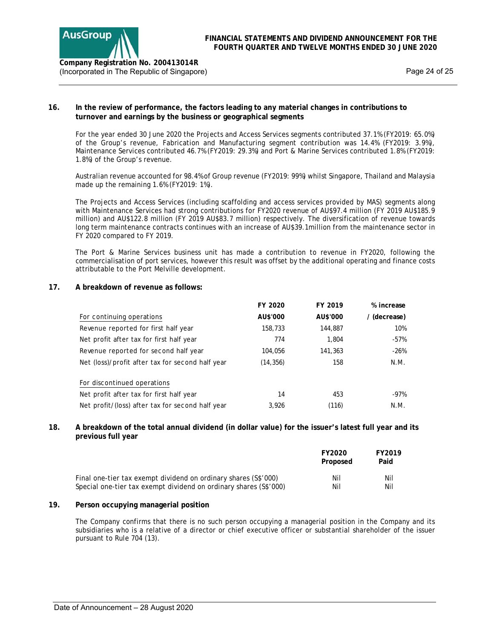

# **16. In the review of performance, the factors leading to any material changes in contributions to turnover and earnings by the business or geographical segments**

For the year ended 30 June 2020 the Projects and Access Services segments contributed 37.1% (FY2019: 65.0%) of the Group's revenue, Fabrication and Manufacturing segment contribution was 14.4% (FY2019: 3.9%), Maintenance Services contributed 46.7% (FY2019: 29.3%) and Port & Marine Services contributed 1.8% (FY2019: 1.8%) of the Group's revenue.

Australian revenue accounted for 98.4% of Group revenue (FY2019: 99%) whilst Singapore, Thailand and Malaysia made up the remaining 1.6% (FY2019: 1%).

The Projects and Access Services (including scaffolding and access services provided by MAS) segments along with Maintenance Services had strong contributions for FY2020 revenue of AU\$97.4 million (FY 2019 AU\$185.9 million) and AU\$122.8 million (FY 2019 AU\$83.7 million) respectively. The diversification of revenue towards long term maintenance contracts continues with an increase of AU\$39.1million from the maintenance sector in FY 2020 compared to FY 2019.

The Port & Marine Services business unit has made a contribution to revenue in FY2020, following the commercialisation of port services, however this result was offset by the additional operating and finance costs attributable to the Port Melville development.

# **17. A breakdown of revenue as follows:**

|                                                  | FY 2020   | FY 2019  | % increase   |
|--------------------------------------------------|-----------|----------|--------------|
| For continuing operations                        | AU\$'000  | AU\$'000 | / (decrease) |
| Revenue reported for first half year             | 158,733   | 144,887  | 10%          |
| Net profit after tax for first half year         | 774       | 1,804    | -57%         |
| Revenue reported for second half year            | 104.056   | 141,363  | -26%         |
| Net (loss)/profit after tax for second half year | (14, 356) | 158      | N.M.         |
| For discontinued operations                      |           |          |              |
| Net profit after tax for first half year         | 14        | 453      | -97%         |
| Net profit/(loss) after tax for second half year | 3.926     | (116)    | N.M.         |

## **18. A breakdown of the total annual dividend (in dollar value) for the issuer's latest full year and its previous full year**

|                                                                   | FY2020<br>Proposed | FY2019<br>Paid |
|-------------------------------------------------------------------|--------------------|----------------|
| Final one-tier tax exempt dividend on ordinary shares (S\$'000)   | Nil                | Nil            |
| Special one-tier tax exempt dividend on ordinary shares (S\$'000) | Nil                | Nil            |

## **19. Person occupying managerial position**

The Company confirms that there is no such person occupying a managerial position in the Company and its subsidiaries who is a relative of a director or chief executive officer or substantial shareholder of the issuer pursuant to Rule 704 (13).